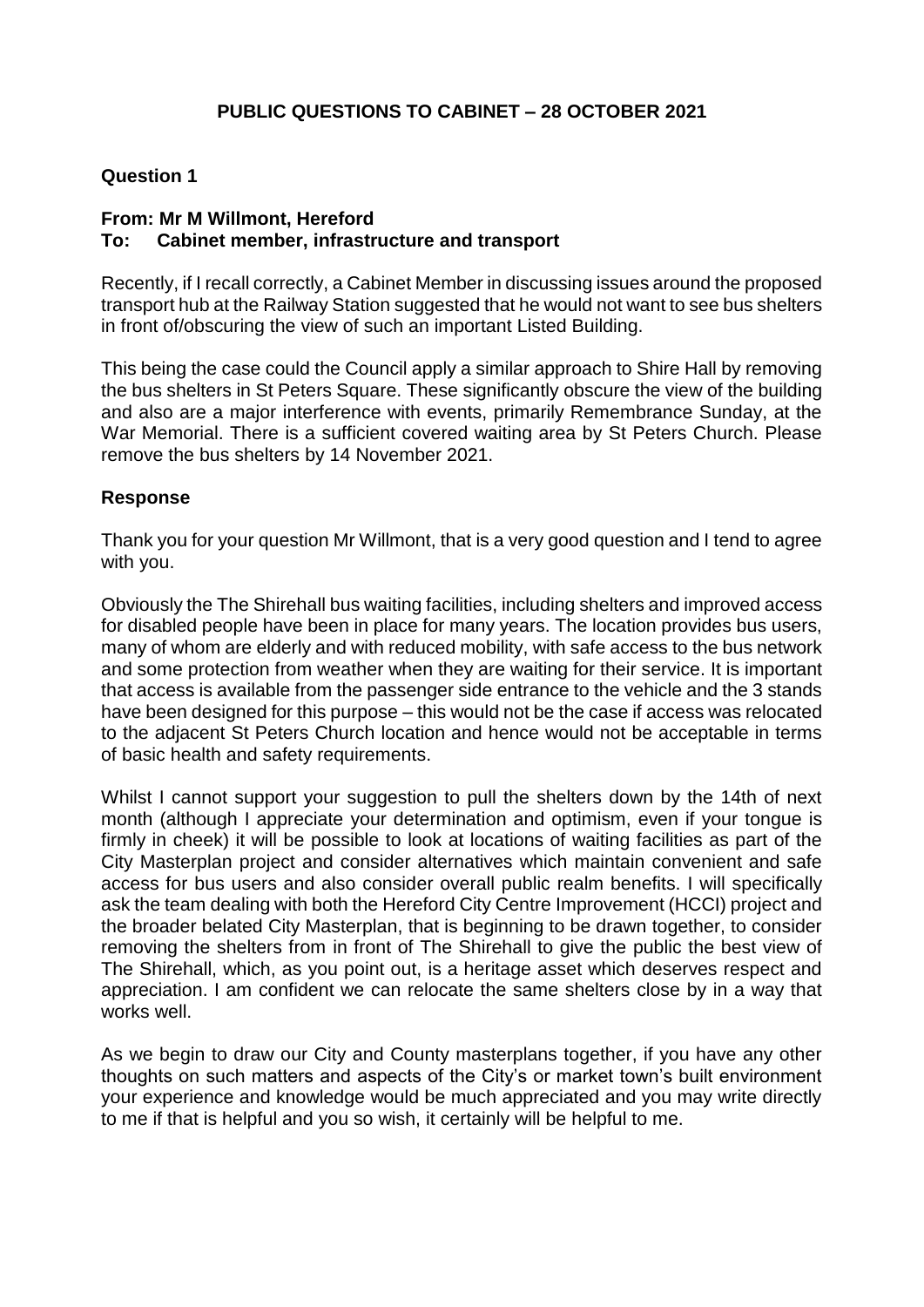### **Question 1**

### **From: Mr M Willmont, Hereford To: Cabinet member, infrastructure and transport**

Recently, if I recall correctly, a Cabinet Member in discussing issues around the proposed transport hub at the Railway Station suggested that he would not want to see bus shelters in front of/obscuring the view of such an important Listed Building.

This being the case could the Council apply a similar approach to Shire Hall by removing the bus shelters in St Peters Square. These significantly obscure the view of the building and also are a major interference with events, primarily Remembrance Sunday, at the War Memorial. There is a sufficient covered waiting area by St Peters Church. Please remove the bus shelters by 14 November 2021.

### **Response**

Thank you for your question Mr Willmont, that is a very good question and I tend to agree with you.

Obviously the The Shirehall bus waiting facilities, including shelters and improved access for disabled people have been in place for many years. The location provides bus users, many of whom are elderly and with reduced mobility, with safe access to the bus network and some protection from weather when they are waiting for their service. It is important that access is available from the passenger side entrance to the vehicle and the 3 stands have been designed for this purpose – this would not be the case if access was relocated to the adjacent St Peters Church location and hence would not be acceptable in terms of basic health and safety requirements.

Whilst I cannot support your suggestion to pull the shelters down by the 14th of next month (although I appreciate your determination and optimism, even if your tongue is firmly in cheek) it will be possible to look at locations of waiting facilities as part of the City Masterplan project and consider alternatives which maintain convenient and safe access for bus users and also consider overall public realm benefits. I will specifically ask the team dealing with both the Hereford City Centre Improvement (HCCI) project and the broader belated City Masterplan, that is beginning to be drawn together, to consider removing the shelters from in front of The Shirehall to give the public the best view of The Shirehall, which, as you point out, is a heritage asset which deserves respect and appreciation. I am confident we can relocate the same shelters close by in a way that works well.

As we begin to draw our City and County masterplans together, if you have any other thoughts on such matters and aspects of the City's or market town's built environment your experience and knowledge would be much appreciated and you may write directly to me if that is helpful and you so wish, it certainly will be helpful to me.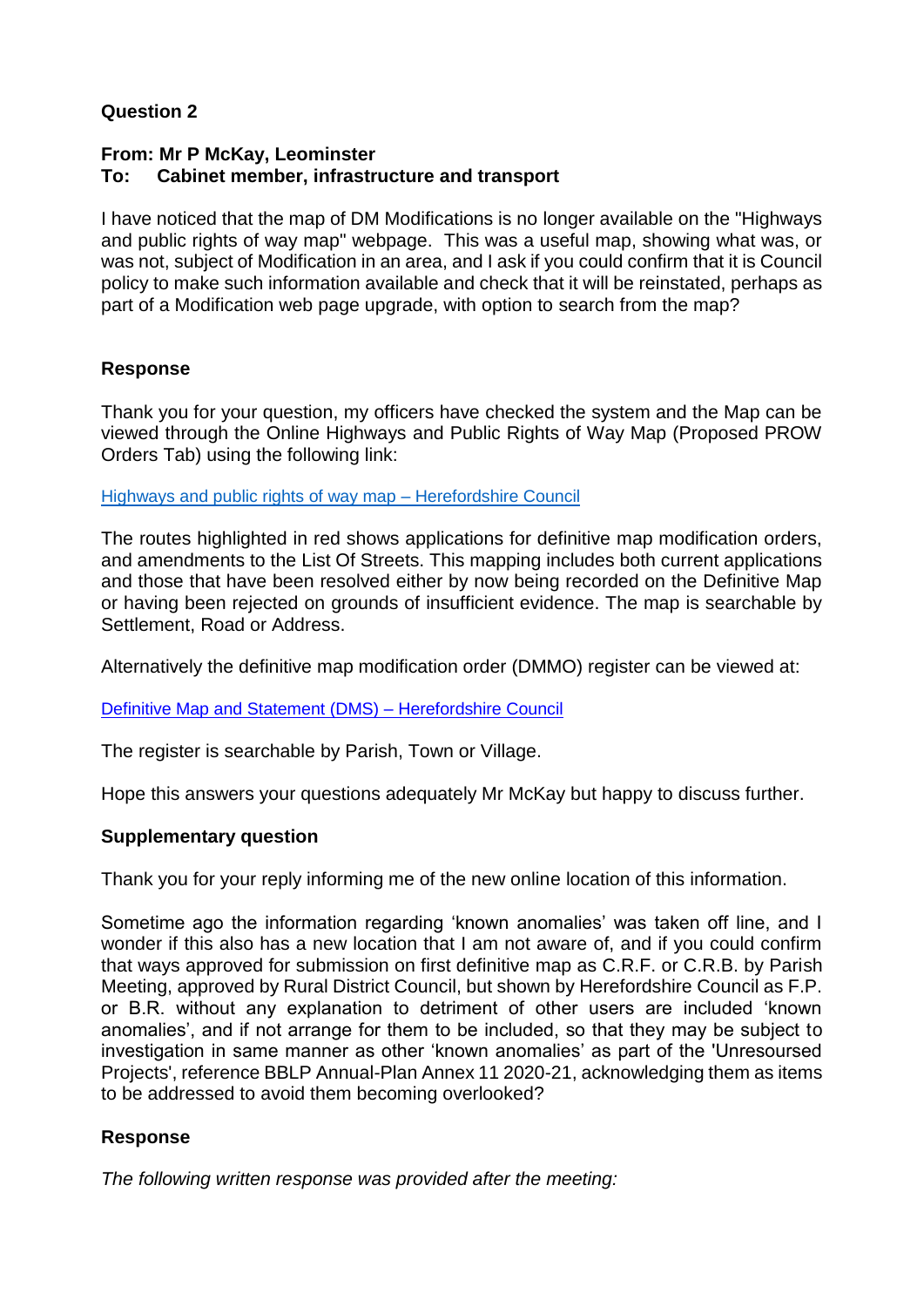# **Question 2**

# **From: Mr P McKay, Leominster To: Cabinet member, infrastructure and transport**

I have noticed that the map of DM Modifications is no longer available on the "Highways and public rights of way map" webpage. This was a useful map, showing what was, or was not, subject of Modification in an area, and I ask if you could confirm that it is Council policy to make such information available and check that it will be reinstated, perhaps as part of a Modification web page upgrade, with option to search from the map?

# **Response**

Thank you for your question, my officers have checked the system and the Map can be viewed through the Online Highways and Public Rights of Way Map (Proposed PROW Orders Tab) using the following link:

[Highways and public rights of way map –](https://www.herefordshire.gov.uk/travel-transport/highways-public-rights-way-map) Herefordshire Council

The routes highlighted in red shows applications for definitive map modification orders, and amendments to the List Of Streets. This mapping includes both current applications and those that have been resolved either by now being recorded on the Definitive Map or having been rejected on grounds of insufficient evidence. The map is searchable by Settlement, Road or Address.

Alternatively the definitive map modification order (DMMO) register can be viewed at:

[Definitive Map and Statement \(DMS\) –](https://www.herefordshire.gov.uk/public-rights-way/definitive-map-statement-dms/4) Herefordshire Council

The register is searchable by Parish, Town or Village.

Hope this answers your questions adequately Mr McKay but happy to discuss further.

### **Supplementary question**

Thank you for your reply informing me of the new online location of this information.

Sometime ago the information regarding 'known anomalies' was taken off line, and I wonder if this also has a new location that I am not aware of, and if you could confirm that ways approved for submission on first definitive map as C.R.F. or C.R.B. by Parish Meeting, approved by Rural District Council, but shown by Herefordshire Council as F.P. or B.R. without any explanation to detriment of other users are included 'known anomalies', and if not arrange for them to be included, so that they may be subject to investigation in same manner as other 'known anomalies' as part of the 'Unresoursed Projects', reference BBLP Annual-Plan Annex 11 2020-21, acknowledging them as items to be addressed to avoid them becoming overlooked?

# **Response**

*The following written response was provided after the meeting:*